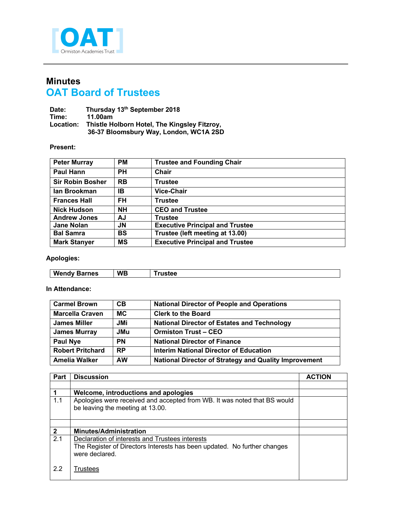

## **Minutes OAT Board of Trustees**

| Date:     | Thursday 13th September 2018                 |
|-----------|----------------------------------------------|
| Time:     | 11.00am                                      |
| Location: | Thistle Holborn Hotel, The Kingsley Fitzroy, |
|           | 36-37 Bloomsbury Way, London, WC1A 2SD       |

## **Present:**

| <b>Peter Murray</b>     | <b>PM</b> | <b>Trustee and Founding Chair</b>      |
|-------------------------|-----------|----------------------------------------|
| <b>Paul Hann</b>        | <b>PH</b> | <b>Chair</b>                           |
| <b>Sir Robin Bosher</b> | <b>RB</b> | <b>Trustee</b>                         |
| lan Brookman            | IB        | <b>Vice-Chair</b>                      |
| <b>Frances Hall</b>     | <b>FH</b> | <b>Trustee</b>                         |
| <b>Nick Hudson</b>      | <b>NH</b> | <b>CEO and Trustee</b>                 |
| <b>Andrew Jones</b>     | AJ        | <b>Trustee</b>                         |
| <b>Jane Nolan</b>       | <b>JN</b> | <b>Executive Principal and Trustee</b> |
| <b>Bal Samra</b>        | <b>BS</b> | Trustee (left meeting at 13.00)        |
| <b>Mark Stanyer</b>     | <b>MS</b> | <b>Executive Principal and Trustee</b> |

## **Apologies:**

| W<br>.<br>nes<br>. enuv<br>JО | <b>WB</b> |  |
|-------------------------------|-----------|--|
|                               |           |  |

## **In Attendance:**

| <b>Carmel Brown</b>     | CB         | <b>National Director of People and Operations</b>            |
|-------------------------|------------|--------------------------------------------------------------|
| <b>Marcella Craven</b>  | <b>MC</b>  | <b>Clerk to the Board</b>                                    |
| <b>James Miller</b>     | <b>JMi</b> | <b>National Director of Estates and Technology</b>           |
| <b>James Murray</b>     | <b>JMu</b> | <b>Ormiston Trust-CEO</b>                                    |
| Paul Nye                | <b>PN</b>  | <b>National Director of Finance</b>                          |
| <b>Robert Pritchard</b> | <b>RP</b>  | Interim National Director of Education                       |
| <b>Amelia Walker</b>    | <b>AW</b>  | <b>National Director of Strategy and Quality Improvement</b> |

| Part           | <b>Discussion</b>                                                                                                                             | <b>ACTION</b> |
|----------------|-----------------------------------------------------------------------------------------------------------------------------------------------|---------------|
|                |                                                                                                                                               |               |
|                | Welcome, introductions and apologies                                                                                                          |               |
| 1.1            | Apologies were received and accepted from WB. It was noted that BS would<br>be leaving the meeting at 13.00.                                  |               |
|                |                                                                                                                                               |               |
| $\overline{2}$ | <b>Minutes/Administration</b>                                                                                                                 |               |
| 2.1            | Declaration of interests and Trustees interests<br>The Register of Directors Interests has been updated. No further changes<br>were declared. |               |
| 2.2            | Trustees                                                                                                                                      |               |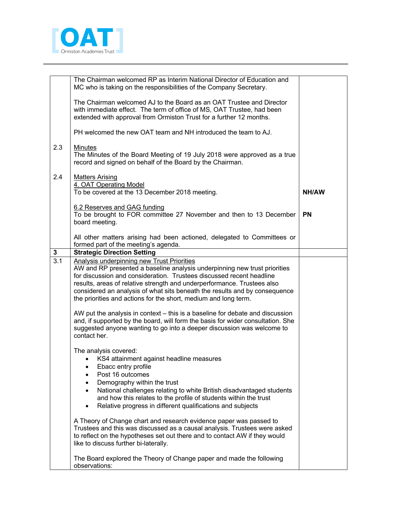

|     | The Chairman welcomed RP as Interim National Director of Education and<br>MC who is taking on the responsibilities of the Company Secretary.                                                                                                                                                                                                                                  |           |
|-----|-------------------------------------------------------------------------------------------------------------------------------------------------------------------------------------------------------------------------------------------------------------------------------------------------------------------------------------------------------------------------------|-----------|
|     | The Chairman welcomed AJ to the Board as an OAT Trustee and Director<br>with immediate effect. The term of office of MS, OAT Trustee, had been<br>extended with approval from Ormiston Trust for a further 12 months.                                                                                                                                                         |           |
|     | PH welcomed the new OAT team and NH introduced the team to AJ.                                                                                                                                                                                                                                                                                                                |           |
| 2.3 | Minutes<br>The Minutes of the Board Meeting of 19 July 2018 were approved as a true<br>record and signed on behalf of the Board by the Chairman.                                                                                                                                                                                                                              |           |
| 2.4 | <b>Matters Arising</b><br>4. OAT Operating Model<br>To be covered at the 13 December 2018 meeting.                                                                                                                                                                                                                                                                            | NH/AW     |
|     | 6.2 Reserves and GAG funding<br>To be brought to FOR committee 27 November and then to 13 December<br>board meeting.                                                                                                                                                                                                                                                          | <b>PN</b> |
|     | All other matters arising had been actioned, delegated to Committees or<br>formed part of the meeting's agenda.                                                                                                                                                                                                                                                               |           |
| 3   | <b>Strategic Direction Setting</b>                                                                                                                                                                                                                                                                                                                                            |           |
| 3.1 | <b>Analysis underpinning new Trust Priorities</b>                                                                                                                                                                                                                                                                                                                             |           |
|     | AW and RP presented a baseline analysis underpinning new trust priorities<br>for discussion and consideration. Trustees discussed recent headline<br>results, areas of relative strength and underperformance. Trustees also<br>considered an analysis of what sits beneath the results and by consequence<br>the priorities and actions for the short, medium and long term. |           |
|     | AW put the analysis in context – this is a baseline for debate and discussion<br>and, if supported by the board, will form the basis for wider consultation. She<br>suggested anyone wanting to go into a deeper discussion was welcome to<br>contact her.                                                                                                                    |           |
|     |                                                                                                                                                                                                                                                                                                                                                                               |           |
|     | The analysis covered:<br>KS4 attainment against headline measures                                                                                                                                                                                                                                                                                                             |           |
|     | Ebacc entry profile<br>٠                                                                                                                                                                                                                                                                                                                                                      |           |
|     | Post 16 outcomes                                                                                                                                                                                                                                                                                                                                                              |           |
|     | Demography within the trust<br>$\bullet$                                                                                                                                                                                                                                                                                                                                      |           |
|     | National challenges relating to white British disadvantaged students<br>$\bullet$                                                                                                                                                                                                                                                                                             |           |
|     | and how this relates to the profile of students within the trust                                                                                                                                                                                                                                                                                                              |           |
|     | Relative progress in different qualifications and subjects<br>$\bullet$                                                                                                                                                                                                                                                                                                       |           |
|     | A Theory of Change chart and research evidence paper was passed to<br>Trustees and this was discussed as a causal analysis. Trustees were asked<br>to reflect on the hypotheses set out there and to contact AW if they would<br>like to discuss further bi-laterally.                                                                                                        |           |
|     | The Board explored the Theory of Change paper and made the following<br>observations:                                                                                                                                                                                                                                                                                         |           |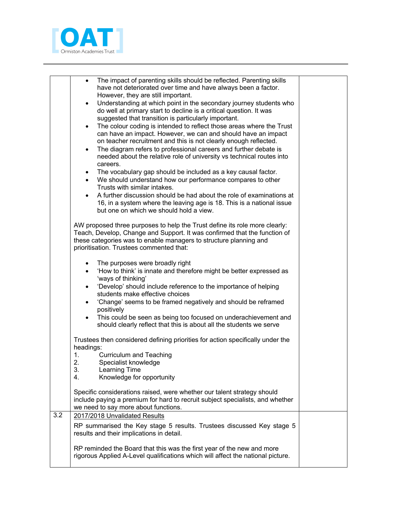

|     | $\bullet$<br>$\bullet$<br>$\bullet$<br>$\bullet$<br>$\bullet$<br>$\bullet$<br>$\bullet$ | The impact of parenting skills should be reflected. Parenting skills<br>have not deteriorated over time and have always been a factor.<br>However, they are still important.<br>Understanding at which point in the secondary journey students who<br>do well at primary start to decline is a critical question. It was<br>suggested that transition is particularly important.<br>The colour coding is intended to reflect those areas where the Trust<br>can have an impact. However, we can and should have an impact<br>on teacher recruitment and this is not clearly enough reflected.<br>The diagram refers to professional careers and further debate is<br>needed about the relative role of university vs technical routes into<br>careers.<br>The vocabulary gap should be included as a key causal factor.<br>We should understand how our performance compares to other<br>Trusts with similar intakes.<br>A further discussion should be had about the role of examinations at<br>16, in a system where the leaving age is 18. This is a national issue |  |
|-----|-----------------------------------------------------------------------------------------|------------------------------------------------------------------------------------------------------------------------------------------------------------------------------------------------------------------------------------------------------------------------------------------------------------------------------------------------------------------------------------------------------------------------------------------------------------------------------------------------------------------------------------------------------------------------------------------------------------------------------------------------------------------------------------------------------------------------------------------------------------------------------------------------------------------------------------------------------------------------------------------------------------------------------------------------------------------------------------------------------------------------------------------------------------------------|--|
|     |                                                                                         | but one on which we should hold a view.<br>AW proposed three purposes to help the Trust define its role more clearly:<br>Teach, Develop, Change and Support. It was confirmed that the function of<br>these categories was to enable managers to structure planning and<br>prioritisation. Trustees commented that:                                                                                                                                                                                                                                                                                                                                                                                                                                                                                                                                                                                                                                                                                                                                                    |  |
|     | $\bullet$<br>$\bullet$<br>$\bullet$<br>$\bullet$<br>$\bullet$                           | The purposes were broadly right<br>'How to think' is innate and therefore might be better expressed as<br>'ways of thinking'<br>'Develop' should include reference to the importance of helping<br>students make effective choices<br>'Change' seems to be framed negatively and should be reframed<br>positively<br>This could be seen as being too focused on underachievement and<br>should clearly reflect that this is about all the students we serve                                                                                                                                                                                                                                                                                                                                                                                                                                                                                                                                                                                                            |  |
|     | headings:<br>1.<br>2<br>3.<br>4.                                                        | Trustees then considered defining priorities for action specifically under the<br><b>Curriculum and Teaching</b><br>Specialist knowledge<br>Learning Time<br>Knowledge for opportunity                                                                                                                                                                                                                                                                                                                                                                                                                                                                                                                                                                                                                                                                                                                                                                                                                                                                                 |  |
|     |                                                                                         | Specific considerations raised, were whether our talent strategy should<br>include paying a premium for hard to recruit subject specialists, and whether<br>we need to say more about functions.                                                                                                                                                                                                                                                                                                                                                                                                                                                                                                                                                                                                                                                                                                                                                                                                                                                                       |  |
| 3.2 |                                                                                         | 2017/2018 Unvalidated Results<br>RP summarised the Key stage 5 results. Trustees discussed Key stage 5<br>results and their implications in detail.                                                                                                                                                                                                                                                                                                                                                                                                                                                                                                                                                                                                                                                                                                                                                                                                                                                                                                                    |  |
|     |                                                                                         | RP reminded the Board that this was the first year of the new and more<br>rigorous Applied A-Level qualifications which will affect the national picture.                                                                                                                                                                                                                                                                                                                                                                                                                                                                                                                                                                                                                                                                                                                                                                                                                                                                                                              |  |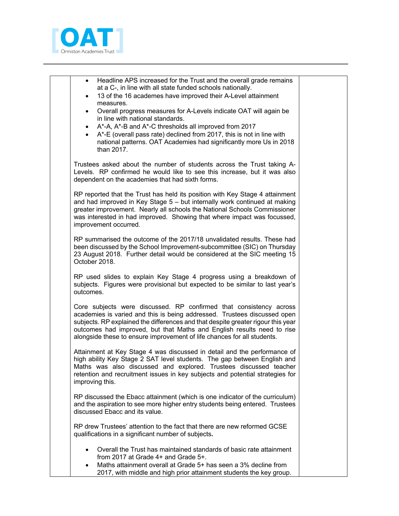

| Headline APS increased for the Trust and the overall grade remains<br>$\bullet$<br>at a C-, in line with all state funded schools nationally.<br>13 of the 16 academes have improved their A-Level attainment<br>$\bullet$<br>measures.                                                                                                                                                 |  |
|-----------------------------------------------------------------------------------------------------------------------------------------------------------------------------------------------------------------------------------------------------------------------------------------------------------------------------------------------------------------------------------------|--|
| Overall progress measures for A-Levels indicate OAT will again be<br>$\bullet$<br>in line with national standards.<br>A*-A, A*-B and A*-C thresholds all improved from 2017<br>$\bullet$<br>A*-E (overall pass rate) declined from 2017, this is not in line with<br>national patterns. OAT Academies had significantly more Us in 2018<br>than 2017.                                   |  |
| Trustees asked about the number of students across the Trust taking A-<br>Levels. RP confirmed he would like to see this increase, but it was also<br>dependent on the academies that had sixth forms.                                                                                                                                                                                  |  |
| RP reported that the Trust has held its position with Key Stage 4 attainment<br>and had improved in Key Stage 5 - but internally work continued at making<br>greater improvement. Nearly all schools the National Schools Commissioner<br>was interested in had improved. Showing that where impact was focussed,<br>improvement occurred.                                              |  |
| RP summarised the outcome of the 2017/18 unvalidated results. These had<br>been discussed by the School Improvement-subcommittee (SIC) on Thursday<br>23 August 2018. Further detail would be considered at the SIC meeting 15<br>October 2018.                                                                                                                                         |  |
| RP used slides to explain Key Stage 4 progress using a breakdown of<br>subjects. Figures were provisional but expected to be similar to last year's<br>outcomes.                                                                                                                                                                                                                        |  |
| Core subjects were discussed. RP confirmed that consistency across<br>academies is varied and this is being addressed. Trustees discussed open<br>subjects. RP explained the differences and that despite greater rigour this year<br>outcomes had improved, but that Maths and English results need to rise<br>alongside these to ensure improvement of life chances for all students. |  |
| Attainment at Key Stage 4 was discussed in detail and the performance of<br>high ability Key Stage 2 SAT level students. The gap between English and<br>Maths was also discussed and explored. Trustees discussed teacher<br>retention and recruitment issues in key subjects and potential strategies for<br>improving this.                                                           |  |
| RP discussed the Ebacc attainment (which is one indicator of the curriculum)<br>and the aspiration to see more higher entry students being entered. Trustees<br>discussed Ebacc and its value.                                                                                                                                                                                          |  |
| RP drew Trustees' attention to the fact that there are new reformed GCSE<br>qualifications in a significant number of subjects.                                                                                                                                                                                                                                                         |  |
| Overall the Trust has maintained standards of basic rate attainment<br>$\bullet$<br>from 2017 at Grade 4+ and Grade 5+.<br>Maths attainment overall at Grade 5+ has seen a 3% decline from<br>$\bullet$<br>2017, with middle and high prior attainment students the key group.                                                                                                          |  |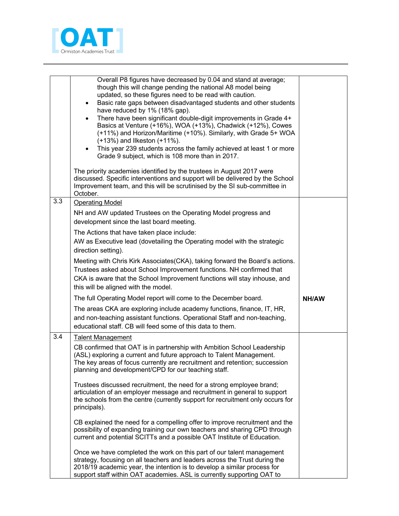

|     | Overall P8 figures have decreased by 0.04 and stand at average;<br>though this will change pending the national A8 model being<br>updated, so these figures need to be read with caution.<br>Basic rate gaps between disadvantaged students and other students<br>$\bullet$<br>have reduced by 1% (18% gap).<br>There have been significant double-digit improvements in Grade 4+<br>$\bullet$<br>Basics at Venture (+16%), WOA (+13%), Chadwick (+12%), Cowes<br>(+11%) and Horizon/Maritime (+10%). Similarly, with Grade 5+ WOA<br>$(+13%)$ and likeston $(+11%)$ .<br>This year 239 students across the family achieved at least 1 or more<br>Grade 9 subject, which is 108 more than in 2017.<br>The priority academies identified by the trustees in August 2017 were<br>discussed. Specific interventions and support will be delivered by the School<br>Improvement team, and this will be scrutinised by the SI sub-committee in<br>October. |              |
|-----|-------------------------------------------------------------------------------------------------------------------------------------------------------------------------------------------------------------------------------------------------------------------------------------------------------------------------------------------------------------------------------------------------------------------------------------------------------------------------------------------------------------------------------------------------------------------------------------------------------------------------------------------------------------------------------------------------------------------------------------------------------------------------------------------------------------------------------------------------------------------------------------------------------------------------------------------------------|--------------|
| 3.3 | <b>Operating Model</b>                                                                                                                                                                                                                                                                                                                                                                                                                                                                                                                                                                                                                                                                                                                                                                                                                                                                                                                                |              |
|     | NH and AW updated Trustees on the Operating Model progress and<br>development since the last board meeting.                                                                                                                                                                                                                                                                                                                                                                                                                                                                                                                                                                                                                                                                                                                                                                                                                                           |              |
|     | The Actions that have taken place include:<br>AW as Executive lead (dovetailing the Operating model with the strategic<br>direction setting).                                                                                                                                                                                                                                                                                                                                                                                                                                                                                                                                                                                                                                                                                                                                                                                                         |              |
|     | Meeting with Chris Kirk Associates (CKA), taking forward the Board's actions.<br>Trustees asked about School Improvement functions. NH confirmed that<br>CKA is aware that the School Improvement functions will stay inhouse, and<br>this will be aligned with the model.                                                                                                                                                                                                                                                                                                                                                                                                                                                                                                                                                                                                                                                                            |              |
|     | The full Operating Model report will come to the December board.                                                                                                                                                                                                                                                                                                                                                                                                                                                                                                                                                                                                                                                                                                                                                                                                                                                                                      | <b>NH/AW</b> |
|     | The areas CKA are exploring include academy functions, finance, IT, HR,<br>and non-teaching assistant functions. Operational Staff and non-teaching,<br>educational staff. CB will feed some of this data to them.                                                                                                                                                                                                                                                                                                                                                                                                                                                                                                                                                                                                                                                                                                                                    |              |
| 3.4 | <b>Talent Management</b>                                                                                                                                                                                                                                                                                                                                                                                                                                                                                                                                                                                                                                                                                                                                                                                                                                                                                                                              |              |
|     | CB confirmed that OAT is in partnership with Ambition School Leadership<br>(ASL) exploring a current and future approach to Talent Management.<br>The key areas of focus currently are recruitment and retention; succession<br>planning and development/CPD for our teaching staff.                                                                                                                                                                                                                                                                                                                                                                                                                                                                                                                                                                                                                                                                  |              |
|     | Trustees discussed recruitment, the need for a strong employee brand;<br>articulation of an employer message and recruitment in general to support<br>the schools from the centre (currently support for recruitment only occurs for<br>principals).                                                                                                                                                                                                                                                                                                                                                                                                                                                                                                                                                                                                                                                                                                  |              |
|     | CB explained the need for a compelling offer to improve recruitment and the<br>possibility of expanding training our own teachers and sharing CPD through<br>current and potential SCITTs and a possible OAT Institute of Education.                                                                                                                                                                                                                                                                                                                                                                                                                                                                                                                                                                                                                                                                                                                  |              |
|     | Once we have completed the work on this part of our talent management<br>strategy, focusing on all teachers and leaders across the Trust during the<br>2018/19 academic year, the intention is to develop a similar process for<br>support staff within OAT academies. ASL is currently supporting OAT to                                                                                                                                                                                                                                                                                                                                                                                                                                                                                                                                                                                                                                             |              |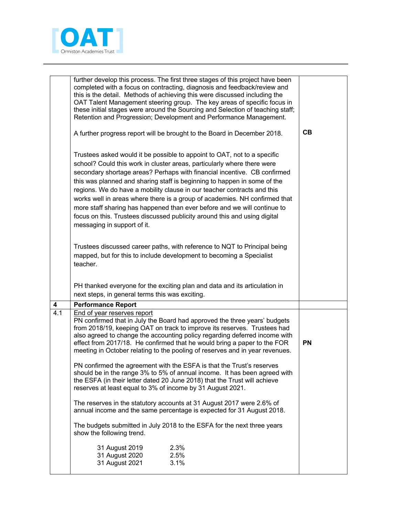

|                         | further develop this process. The first three stages of this project have been<br>completed with a focus on contracting, diagnosis and feedback/review and<br>this is the detail. Methods of achieving this were discussed including the<br>OAT Talent Management steering group. The key areas of specific focus in<br>these initial stages were around the Sourcing and Selection of teaching staff;<br>Retention and Progression; Development and Performance Management.                                                                                                                                                                                 |           |
|-------------------------|--------------------------------------------------------------------------------------------------------------------------------------------------------------------------------------------------------------------------------------------------------------------------------------------------------------------------------------------------------------------------------------------------------------------------------------------------------------------------------------------------------------------------------------------------------------------------------------------------------------------------------------------------------------|-----------|
|                         | A further progress report will be brought to the Board in December 2018.                                                                                                                                                                                                                                                                                                                                                                                                                                                                                                                                                                                     | CB        |
|                         | Trustees asked would it be possible to appoint to OAT, not to a specific<br>school? Could this work in cluster areas, particularly where there were<br>secondary shortage areas? Perhaps with financial incentive. CB confirmed<br>this was planned and sharing staff is beginning to happen in some of the<br>regions. We do have a mobility clause in our teacher contracts and this<br>works well in areas where there is a group of academies. NH confirmed that<br>more staff sharing has happened than ever before and we will continue to<br>focus on this. Trustees discussed publicity around this and using digital<br>messaging in support of it. |           |
|                         | Trustees discussed career paths, with reference to NQT to Principal being<br>mapped, but for this to include development to becoming a Specialist<br>teacher.                                                                                                                                                                                                                                                                                                                                                                                                                                                                                                |           |
|                         | PH thanked everyone for the exciting plan and data and its articulation in<br>next steps, in general terms this was exciting.                                                                                                                                                                                                                                                                                                                                                                                                                                                                                                                                |           |
| $\overline{\mathbf{4}}$ | <b>Performance Report</b>                                                                                                                                                                                                                                                                                                                                                                                                                                                                                                                                                                                                                                    |           |
| 4.1                     | End of year reserves report                                                                                                                                                                                                                                                                                                                                                                                                                                                                                                                                                                                                                                  |           |
|                         | PN confirmed that in July the Board had approved the three years' budgets<br>from 2018/19, keeping OAT on track to improve its reserves. Trustees had<br>also agreed to change the accounting policy regarding deferred income with<br>effect from 2017/18. He confirmed that he would bring a paper to the FOR<br>meeting in October relating to the pooling of reserves and in year revenues.                                                                                                                                                                                                                                                              | <b>PN</b> |
|                         | PN confirmed the agreement with the ESFA is that the Trust's reserves<br>should be in the range 3% to 5% of annual income. It has been agreed with<br>the ESFA (in their letter dated 20 June 2018) that the Trust will achieve<br>reserves at least equal to 3% of income by 31 August 2021.                                                                                                                                                                                                                                                                                                                                                                |           |
|                         | The reserves in the statutory accounts at 31 August 2017 were 2.6% of<br>annual income and the same percentage is expected for 31 August 2018.                                                                                                                                                                                                                                                                                                                                                                                                                                                                                                               |           |
|                         | The budgets submitted in July 2018 to the ESFA for the next three years<br>show the following trend.                                                                                                                                                                                                                                                                                                                                                                                                                                                                                                                                                         |           |
|                         | 31 August 2019<br>2.3%<br>2.5%<br>31 August 2020<br>31 August 2021<br>3.1%                                                                                                                                                                                                                                                                                                                                                                                                                                                                                                                                                                                   |           |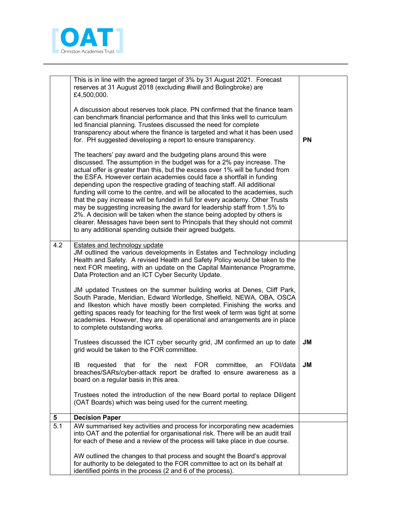

|     | This is in line with the agreed target of 3% by 31 August 2021. Forecast<br>reserves at 31 August 2018 (excluding #iwill and Bolingbroke) are<br>£4,500,000.                                                                                                                                                                                                                                                                                                                                                                                                                                                                                                                                                                                                                                                                                      |           |
|-----|---------------------------------------------------------------------------------------------------------------------------------------------------------------------------------------------------------------------------------------------------------------------------------------------------------------------------------------------------------------------------------------------------------------------------------------------------------------------------------------------------------------------------------------------------------------------------------------------------------------------------------------------------------------------------------------------------------------------------------------------------------------------------------------------------------------------------------------------------|-----------|
|     | A discussion about reserves took place. PN confirmed that the finance team<br>can benchmark financial performance and that this links well to curriculum<br>led financial planning. Trustees discussed the need for complete<br>transparency about where the finance is targeted and what it has been used<br>for. PH suggested developing a report to ensure transparency.                                                                                                                                                                                                                                                                                                                                                                                                                                                                       | <b>PN</b> |
|     | The teachers' pay award and the budgeting plans around this were<br>discussed. The assumption in the budget was for a 2% pay increase. The<br>actual offer is greater than this, but the excess over 1% will be funded from<br>the ESFA. However certain academies could face a shortfall in funding<br>depending upon the respective grading of teaching staff. All additional<br>funding will come to the centre, and will be allocated to the academies, such<br>that the pay increase will be funded in full for every academy. Other Trusts<br>may be suggesting increasing the award for leadership staff from 1.5% to<br>2%. A decision will be taken when the stance being adopted by others is<br>clearer. Messages have been sent to Principals that they should not commit<br>to any additional spending outside their agreed budgets. |           |
| 4.2 | <b>Estates and technology update</b><br>JM outlined the various developments in Estates and Technology including<br>Health and Safety. A revised Health and Safety Policy would be taken to the<br>next FOR meeting, with an update on the Capital Maintenance Programme,<br>Data Protection and an ICT Cyber Security Update.                                                                                                                                                                                                                                                                                                                                                                                                                                                                                                                    |           |
|     | JM updated Trustees on the summer building works at Denes, Cliff Park,<br>South Parade, Meridian, Edward Worlledge, Shelfield, NEWA, OBA, OSCA<br>and Ilkeston which have mostly been completed. Finishing the works and<br>getting spaces ready for teaching for the first week of term was tight at some<br>academies. However, they are all operational and arrangements are in place<br>to complete outstanding works.                                                                                                                                                                                                                                                                                                                                                                                                                        |           |
|     | Trustees discussed the ICT cyber security grid, JM confirmed an up to date<br>grid would be taken to the FOR committee.                                                                                                                                                                                                                                                                                                                                                                                                                                                                                                                                                                                                                                                                                                                           | JM        |
|     | requested<br>that for the next FOR committee,<br>an<br>FOI/data<br>IB<br>breaches/SARs/cyber-attack report be drafted to ensure awareness as a<br>board on a regular basis in this area.                                                                                                                                                                                                                                                                                                                                                                                                                                                                                                                                                                                                                                                          | <b>JM</b> |
|     | Trustees noted the introduction of the new Board portal to replace Diligent<br>(OAT Boards) which was being used for the current meeting.                                                                                                                                                                                                                                                                                                                                                                                                                                                                                                                                                                                                                                                                                                         |           |
| 5   | <b>Decision Paper</b>                                                                                                                                                                                                                                                                                                                                                                                                                                                                                                                                                                                                                                                                                                                                                                                                                             |           |
| 5.1 | AW summarised key activities and process for incorporating new academies<br>into OAT and the potential for organisational risk. There will be an audit trail<br>for each of these and a review of the process will take place in due course.                                                                                                                                                                                                                                                                                                                                                                                                                                                                                                                                                                                                      |           |
|     | AW outlined the changes to that process and sought the Board's approval<br>for authority to be delegated to the FOR committee to act on its behalf at<br>identified points in the process (2 and 6 of the process).                                                                                                                                                                                                                                                                                                                                                                                                                                                                                                                                                                                                                               |           |